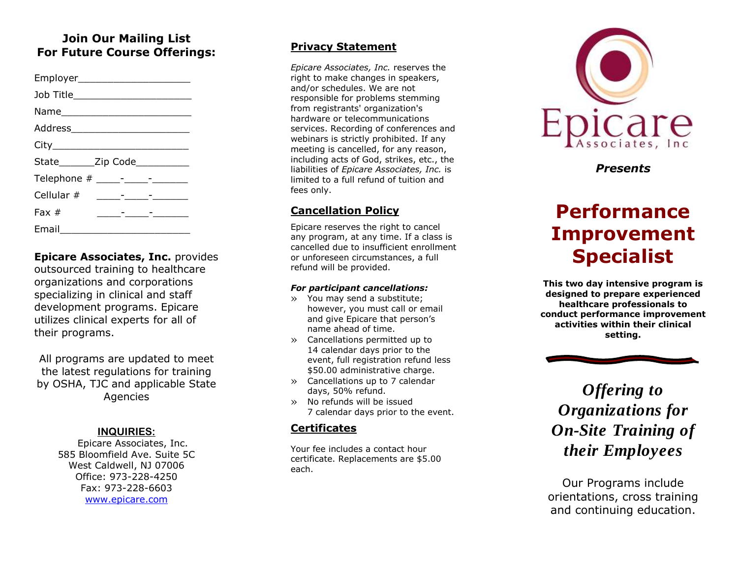### **Join Our Mailing List For Future Course Offerings:**

| Employer_________________________  |                                                                                                                             |  |
|------------------------------------|-----------------------------------------------------------------------------------------------------------------------------|--|
| Job Title_________________________ |                                                                                                                             |  |
|                                    |                                                                                                                             |  |
|                                    |                                                                                                                             |  |
|                                    |                                                                                                                             |  |
| State________Zip Code___________   |                                                                                                                             |  |
|                                    |                                                                                                                             |  |
|                                    |                                                                                                                             |  |
| Fax $#$                            | <u> 1989 - Andrea Station Barbara, amerikan personal personal personal personal personal personal personal personal per</u> |  |
| Email<br>$\sim$                    |                                                                                                                             |  |

**Epicare Associates, Inc.** provides outsourced training to healthcare organizations and corporations specializing in clinical and staff development programs. Epicare utilizes clinical experts for all of their programs.

All programs are updated to meet the latest regulations for training by OSHA, TJC and applicable State Agencies

#### **INQUIRIES :**

Epicare Associates, Inc. 585 Bloomfield Ave. Suite 5C West Caldwell, NJ 07006 Office: 973 -228 -4250 Fax: 973 -228 -6603 [www.epicare.com](http://www.epicare.com/)

#### **Privacy Statement**

*Epicare Associates, Inc.* reserves the right to make changes in speakers, and/or schedules. We are not responsible for problems stemming from registrants' organization's hardware or telecommunications services. Recording of conferences and webinars is strictly prohibited. If any meeting is cancelled, for any reason, including acts of God, strikes, etc., the liabilities of *Epicare Associates, Inc.* is limited to a full refund of tuition and fees only.

#### **Cancellation Policy**

Epicare reserves the right to cancel any program, at any time. If a class is cancelled due to insufficient enrollment or unforeseen circumstances, a full refund will be provided.

#### *For participant cancellations:*

- » You may send a substitute; however, you must call or email and give Epicare that person's name ahead of time.
- » Cancellations permitted up to 14 calendar days prior to the event, full registration refund less<br>\$50.00 administrative charge.
- » Cancellations up to 7 calendar days, 50% refund.
- » No refunds will be issued 7 calendar days prior to the event.

### **Certificates**

Your fee includes a contact hour certificate. Replacements are \$5.00 each.



*Presents*

# **Performance Improvement Specialist**

**This two day intensive program is designed to prepare experienced healthcare professionals to conduct performance improvement activities within their clinical setting.**

*Offering to Organizations for On -Site Training of their Employees*

Our Programs include orientation s, cross training and continuing education.